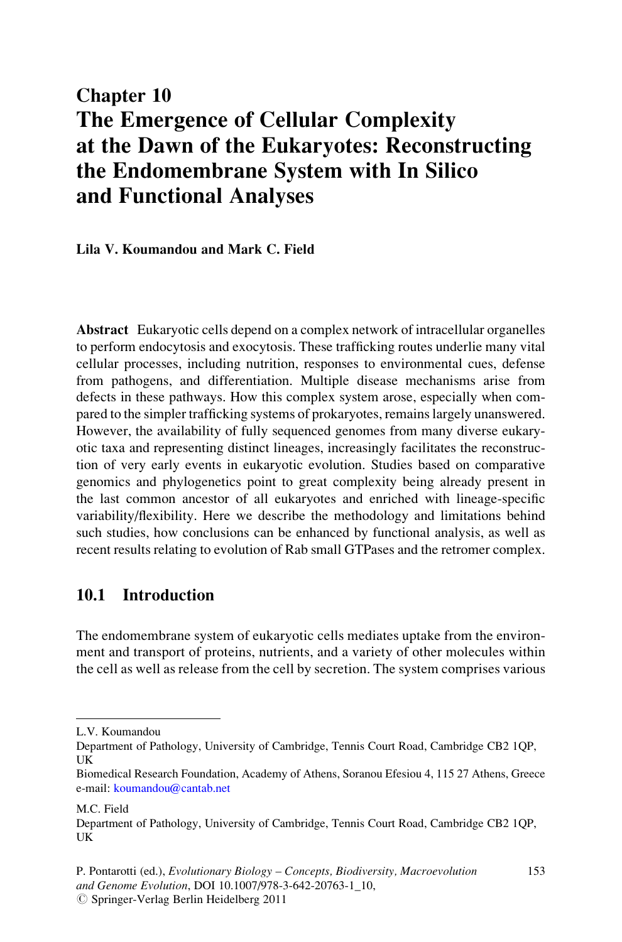# Chapter 10 The Emergence of Cellular Complexity at the Dawn of the Eukaryotes: Reconstructing the Endomembrane System with In Silico and Functional Analyses

Lila V. Koumandou and Mark C. Field

Abstract Eukaryotic cells depend on a complex network of intracellular organelles to perform endocytosis and exocytosis. These trafficking routes underlie many vital cellular processes, including nutrition, responses to environmental cues, defense from pathogens, and differentiation. Multiple disease mechanisms arise from defects in these pathways. How this complex system arose, especially when compared to the simpler trafficking systems of prokaryotes, remains largely unanswered. However, the availability of fully sequenced genomes from many diverse eukaryotic taxa and representing distinct lineages, increasingly facilitates the reconstruction of very early events in eukaryotic evolution. Studies based on comparative genomics and phylogenetics point to great complexity being already present in the last common ancestor of all eukaryotes and enriched with lineage-specific variability/flexibility. Here we describe the methodology and limitations behind such studies, how conclusions can be enhanced by functional analysis, as well as recent results relating to evolution of Rab small GTPases and the retromer complex.

# 10.1 Introduction

The endomembrane system of eukaryotic cells mediates uptake from the environment and transport of proteins, nutrients, and a variety of other molecules within the cell as well as release from the cell by secretion. The system comprises various

M.C. Field

L.V. Koumandou

Department of Pathology, University of Cambridge, Tennis Court Road, Cambridge CB2 1QP, UK

Biomedical Research Foundation, Academy of Athens, Soranou Efesiou 4, 115 27 Athens, Greece e-mail: [koumandou@cantab.net](mailto:koumandou@cantab.net)

Department of Pathology, University of Cambridge, Tennis Court Road, Cambridge CB2 1QP, UK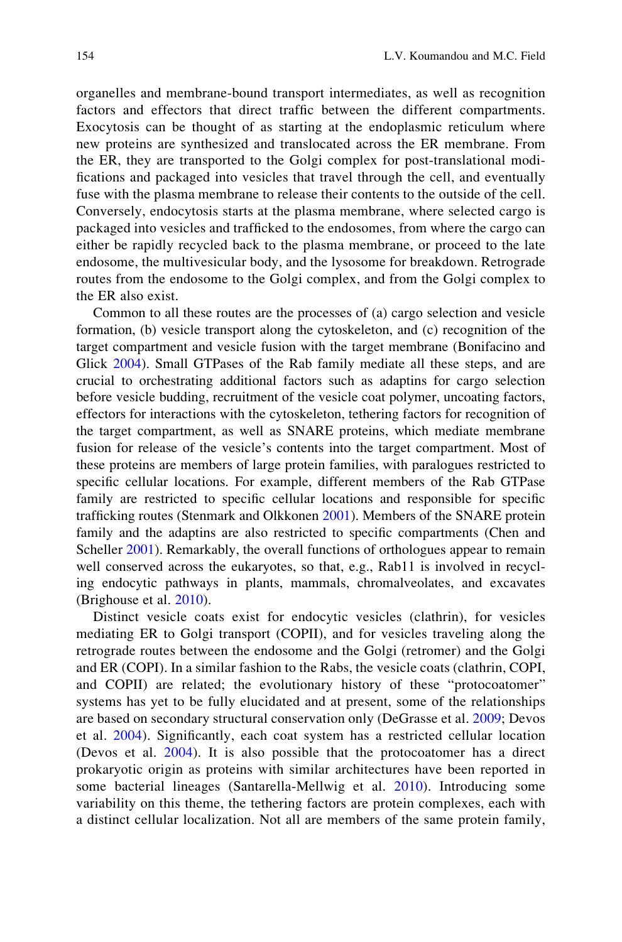organelles and membrane-bound transport intermediates, as well as recognition factors and effectors that direct traffic between the different compartments. Exocytosis can be thought of as starting at the endoplasmic reticulum where new proteins are synthesized and translocated across the ER membrane. From the ER, they are transported to the Golgi complex for post-translational modifications and packaged into vesicles that travel through the cell, and eventually fuse with the plasma membrane to release their contents to the outside of the cell. Conversely, endocytosis starts at the plasma membrane, where selected cargo is packaged into vesicles and trafficked to the endosomes, from where the cargo can either be rapidly recycled back to the plasma membrane, or proceed to the late endosome, the multivesicular body, and the lysosome for breakdown. Retrograde routes from the endosome to the Golgi complex, and from the Golgi complex to the ER also exist.

Common to all these routes are the processes of (a) cargo selection and vesicle formation, (b) vesicle transport along the cytoskeleton, and (c) recognition of the target compartment and vesicle fusion with the target membrane (Bonifacino and Glick [2004\)](#page-12-0). Small GTPases of the Rab family mediate all these steps, and are crucial to orchestrating additional factors such as adaptins for cargo selection before vesicle budding, recruitment of the vesicle coat polymer, uncoating factors, effectors for interactions with the cytoskeleton, tethering factors for recognition of the target compartment, as well as SNARE proteins, which mediate membrane fusion for release of the vesicle's contents into the target compartment. Most of these proteins are members of large protein families, with paralogues restricted to specific cellular locations. For example, different members of the Rab GTPase family are restricted to specific cellular locations and responsible for specific trafficking routes (Stenmark and Olkkonen [2001\)](#page-14-0). Members of the SNARE protein family and the adaptins are also restricted to specific compartments (Chen and Scheller [2001](#page-12-0)). Remarkably, the overall functions of orthologues appear to remain well conserved across the eukaryotes, so that, e.g., Rab11 is involved in recycling endocytic pathways in plants, mammals, chromalveolates, and excavates (Brighouse et al. [2010\)](#page-12-0).

Distinct vesicle coats exist for endocytic vesicles (clathrin), for vesicles mediating ER to Golgi transport (COPII), and for vesicles traveling along the retrograde routes between the endosome and the Golgi (retromer) and the Golgi and ER (COPI). In a similar fashion to the Rabs, the vesicle coats (clathrin, COPI, and COPII) are related; the evolutionary history of these "protocoatomer" systems has yet to be fully elucidated and at present, some of the relationships are based on secondary structural conservation only (DeGrasse et al. [2009](#page-13-0); Devos et al. [2004\)](#page-13-0). Significantly, each coat system has a restricted cellular location (Devos et al. [2004](#page-13-0)). It is also possible that the protocoatomer has a direct prokaryotic origin as proteins with similar architectures have been reported in some bacterial lineages (Santarella-Mellwig et al. [2010\)](#page-14-0). Introducing some variability on this theme, the tethering factors are protein complexes, each with a distinct cellular localization. Not all are members of the same protein family,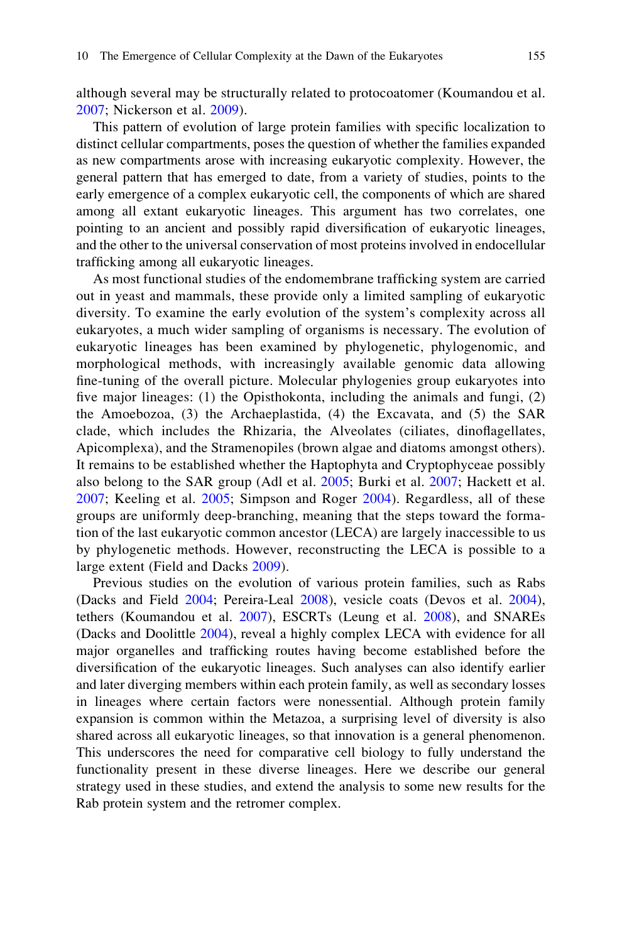although several may be structurally related to protocoatomer (Koumandou et al. [2007](#page-13-0); Nickerson et al. [2009\)](#page-14-0).

This pattern of evolution of large protein families with specific localization to distinct cellular compartments, poses the question of whether the families expanded as new compartments arose with increasing eukaryotic complexity. However, the general pattern that has emerged to date, from a variety of studies, points to the early emergence of a complex eukaryotic cell, the components of which are shared among all extant eukaryotic lineages. This argument has two correlates, one pointing to an ancient and possibly rapid diversification of eukaryotic lineages, and the other to the universal conservation of most proteins involved in endocellular trafficking among all eukaryotic lineages.

As most functional studies of the endomembrane trafficking system are carried out in yeast and mammals, these provide only a limited sampling of eukaryotic diversity. To examine the early evolution of the system's complexity across all eukaryotes, a much wider sampling of organisms is necessary. The evolution of eukaryotic lineages has been examined by phylogenetic, phylogenomic, and morphological methods, with increasingly available genomic data allowing fine-tuning of the overall picture. Molecular phylogenies group eukaryotes into five major lineages: (1) the Opisthokonta, including the animals and fungi, (2) the Amoebozoa, (3) the Archaeplastida, (4) the Excavata, and (5) the SAR clade, which includes the Rhizaria, the Alveolates (ciliates, dinoflagellates, Apicomplexa), and the Stramenopiles (brown algae and diatoms amongst others). It remains to be established whether the Haptophyta and Cryptophyceae possibly also belong to the SAR group (Adl et al. [2005](#page-12-0); Burki et al. [2007;](#page-12-0) Hackett et al. [2007](#page-13-0); Keeling et al. [2005;](#page-13-0) Simpson and Roger [2004\)](#page-14-0). Regardless, all of these groups are uniformly deep-branching, meaning that the steps toward the formation of the last eukaryotic common ancestor (LECA) are largely inaccessible to us by phylogenetic methods. However, reconstructing the LECA is possible to a large extent (Field and Dacks [2009\)](#page-13-0).

Previous studies on the evolution of various protein families, such as Rabs (Dacks and Field [2004;](#page-13-0) Pereira-Leal [2008](#page-14-0)), vesicle coats (Devos et al. [2004\)](#page-13-0), tethers (Koumandou et al. [2007](#page-13-0)), ESCRTs (Leung et al. [2008](#page-13-0)), and SNAREs (Dacks and Doolittle [2004\)](#page-13-0), reveal a highly complex LECA with evidence for all major organelles and trafficking routes having become established before the diversification of the eukaryotic lineages. Such analyses can also identify earlier and later diverging members within each protein family, as well as secondary losses in lineages where certain factors were nonessential. Although protein family expansion is common within the Metazoa, a surprising level of diversity is also shared across all eukaryotic lineages, so that innovation is a general phenomenon. This underscores the need for comparative cell biology to fully understand the functionality present in these diverse lineages. Here we describe our general strategy used in these studies, and extend the analysis to some new results for the Rab protein system and the retromer complex.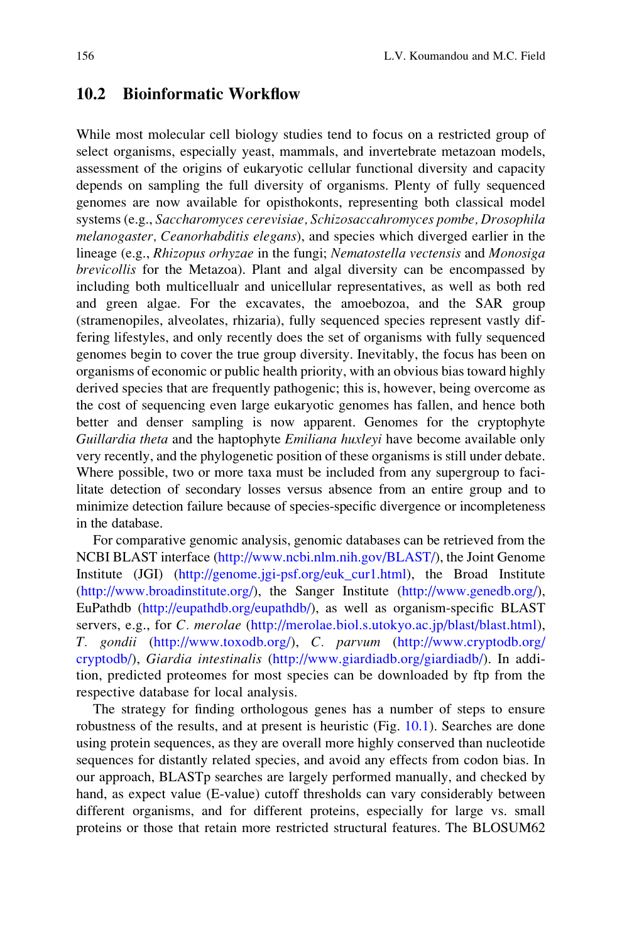# 10.2 Bioinformatic Workflow

While most molecular cell biology studies tend to focus on a restricted group of select organisms, especially yeast, mammals, and invertebrate metazoan models, assessment of the origins of eukaryotic cellular functional diversity and capacity depends on sampling the full diversity of organisms. Plenty of fully sequenced genomes are now available for opisthokonts, representing both classical model systems (e.g., Saccharomyces cerevisiae, Schizosaccahromyces pombe, Drosophila melanogaster, Ceanorhabditis elegans), and species which diverged earlier in the lineage (e.g., Rhizopus orhyzae in the fungi; Nematostella vectensis and Monosiga brevicollis for the Metazoa). Plant and algal diversity can be encompassed by including both multicellualr and unicellular representatives, as well as both red and green algae. For the excavates, the amoebozoa, and the SAR group (stramenopiles, alveolates, rhizaria), fully sequenced species represent vastly differing lifestyles, and only recently does the set of organisms with fully sequenced genomes begin to cover the true group diversity. Inevitably, the focus has been on organisms of economic or public health priority, with an obvious bias toward highly derived species that are frequently pathogenic; this is, however, being overcome as the cost of sequencing even large eukaryotic genomes has fallen, and hence both better and denser sampling is now apparent. Genomes for the cryptophyte Guillardia theta and the haptophyte Emiliana huxleyi have become available only very recently, and the phylogenetic position of these organisms is still under debate. Where possible, two or more taxa must be included from any supergroup to facilitate detection of secondary losses versus absence from an entire group and to minimize detection failure because of species-specific divergence or incompleteness in the database.

For comparative genomic analysis, genomic databases can be retrieved from the NCBI BLAST interface [\(http://www.ncbi.nlm.nih.gov/BLAST/\)](http://www.ncbi.nlm.nih.gov/BLAST/), the Joint Genome Institute (JGI) [\(http://genome.jgi-psf.org/euk\\_cur1.html](http://genome.jgi-psf.org/euk_cur1.html)), the Broad Institute [\(http://www.broadinstitute.org/\)](http://www.broadinstitute.org/), the Sanger Institute [\(http://www.genedb.org/\)](http://www.genedb.org/), EuPathdb ([http://eupathdb.org/eupathdb/\)](http://eupathdb.org/eupathdb/), as well as organism-specific BLAST servers, e.g., for C. merolae [\(http://merolae.biol.s.utokyo.ac.jp/blast/blast.html\)](http://merolae.biol.s.utokyo.ac.jp/blast/blast.html), T. gondii (<http://www.toxodb.org/>), C. parvum ([http://www.cryptodb.org/](http://www.cryptodb.org/cryptodb/) [cryptodb/](http://www.cryptodb.org/cryptodb/)), Giardia intestinalis (<http://www.giardiadb.org/giardiadb/>). In addition, predicted proteomes for most species can be downloaded by ftp from the respective database for local analysis.

The strategy for finding orthologous genes has a number of steps to ensure robustness of the results, and at present is heuristic (Fig. [10.1](#page-4-0)). Searches are done using protein sequences, as they are overall more highly conserved than nucleotide sequences for distantly related species, and avoid any effects from codon bias. In our approach, BLASTp searches are largely performed manually, and checked by hand, as expect value (E-value) cutoff thresholds can vary considerably between different organisms, and for different proteins, especially for large vs. small proteins or those that retain more restricted structural features. The BLOSUM62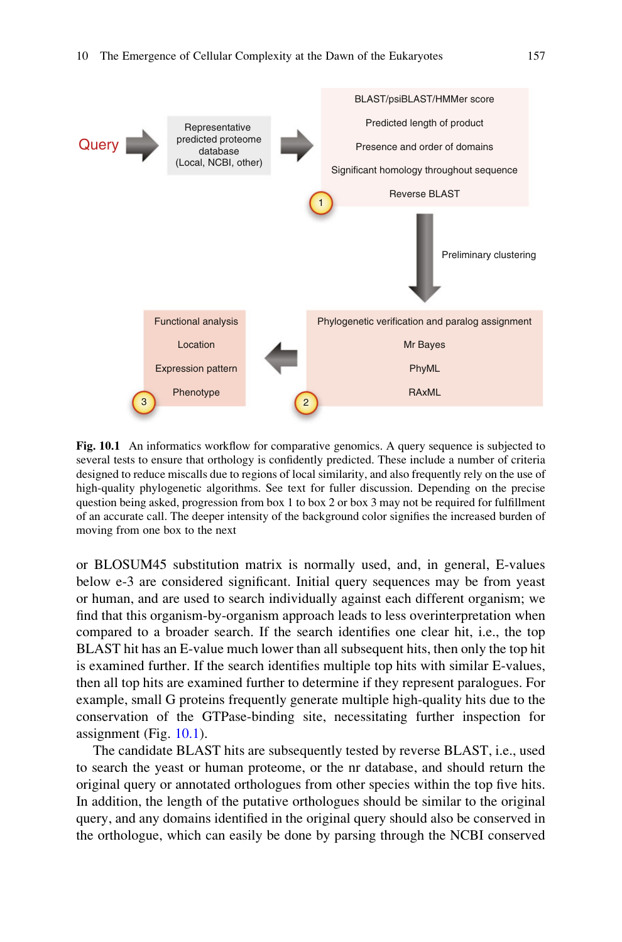<span id="page-4-0"></span>

Fig. 10.1 An informatics workflow for comparative genomics. A query sequence is subjected to several tests to ensure that orthology is confidently predicted. These include a number of criteria designed to reduce miscalls due to regions of local similarity, and also frequently rely on the use of high-quality phylogenetic algorithms. See text for fuller discussion. Depending on the precise question being asked, progression from box 1 to box 2 or box 3 may not be required for fulfillment of an accurate call. The deeper intensity of the background color signifies the increased burden of moving from one box to the next

or BLOSUM45 substitution matrix is normally used, and, in general, E-values below e-3 are considered significant. Initial query sequences may be from yeast or human, and are used to search individually against each different organism; we find that this organism-by-organism approach leads to less overinterpretation when compared to a broader search. If the search identifies one clear hit, i.e., the top BLAST hit has an E-value much lower than all subsequent hits, then only the top hit is examined further. If the search identifies multiple top hits with similar E-values, then all top hits are examined further to determine if they represent paralogues. For example, small G proteins frequently generate multiple high-quality hits due to the conservation of the GTPase-binding site, necessitating further inspection for assignment (Fig. 10.1).

The candidate BLAST hits are subsequently tested by reverse BLAST, i.e., used to search the yeast or human proteome, or the nr database, and should return the original query or annotated orthologues from other species within the top five hits. In addition, the length of the putative orthologues should be similar to the original query, and any domains identified in the original query should also be conserved in the orthologue, which can easily be done by parsing through the NCBI conserved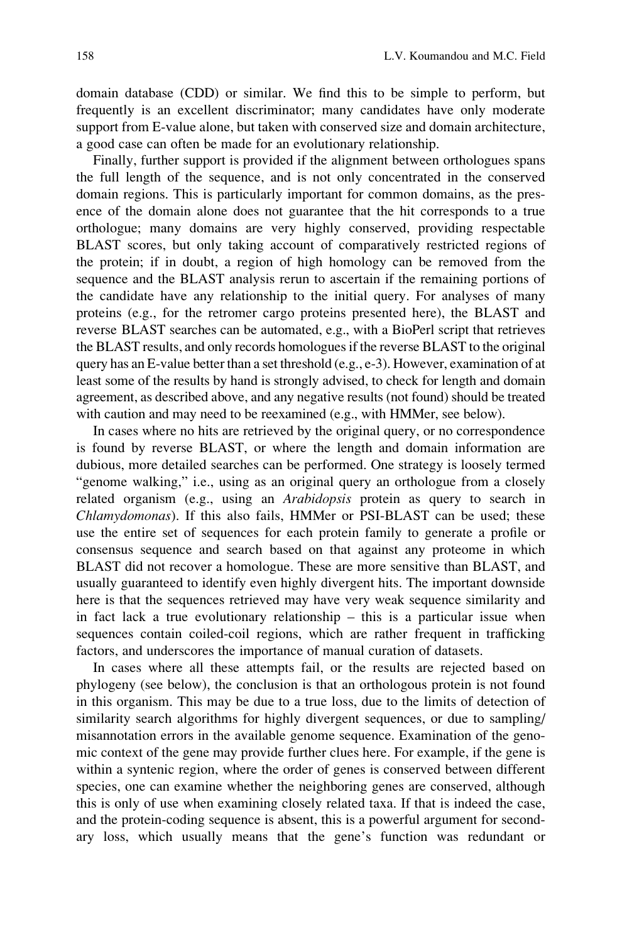domain database (CDD) or similar. We find this to be simple to perform, but frequently is an excellent discriminator; many candidates have only moderate support from E-value alone, but taken with conserved size and domain architecture, a good case can often be made for an evolutionary relationship.

Finally, further support is provided if the alignment between orthologues spans the full length of the sequence, and is not only concentrated in the conserved domain regions. This is particularly important for common domains, as the presence of the domain alone does not guarantee that the hit corresponds to a true orthologue; many domains are very highly conserved, providing respectable BLAST scores, but only taking account of comparatively restricted regions of the protein; if in doubt, a region of high homology can be removed from the sequence and the BLAST analysis rerun to ascertain if the remaining portions of the candidate have any relationship to the initial query. For analyses of many proteins (e.g., for the retromer cargo proteins presented here), the BLAST and reverse BLAST searches can be automated, e.g., with a BioPerl script that retrieves the BLAST results, and only records homologues if the reverse BLAST to the original query has an E-value better than a set threshold (e.g., e-3). However, examination of at least some of the results by hand is strongly advised, to check for length and domain agreement, as described above, and any negative results (not found) should be treated with caution and may need to be reexamined (e.g., with HMMer, see below).

In cases where no hits are retrieved by the original query, or no correspondence is found by reverse BLAST, or where the length and domain information are dubious, more detailed searches can be performed. One strategy is loosely termed "genome walking," i.e., using as an original query an orthologue from a closely related organism (e.g., using an Arabidopsis protein as query to search in Chlamydomonas). If this also fails, HMMer or PSI-BLAST can be used; these use the entire set of sequences for each protein family to generate a profile or consensus sequence and search based on that against any proteome in which BLAST did not recover a homologue. These are more sensitive than BLAST, and usually guaranteed to identify even highly divergent hits. The important downside here is that the sequences retrieved may have very weak sequence similarity and in fact lack a true evolutionary relationship – this is a particular issue when sequences contain coiled-coil regions, which are rather frequent in trafficking factors, and underscores the importance of manual curation of datasets.

In cases where all these attempts fail, or the results are rejected based on phylogeny (see below), the conclusion is that an orthologous protein is not found in this organism. This may be due to a true loss, due to the limits of detection of similarity search algorithms for highly divergent sequences, or due to sampling/ misannotation errors in the available genome sequence. Examination of the genomic context of the gene may provide further clues here. For example, if the gene is within a syntenic region, where the order of genes is conserved between different species, one can examine whether the neighboring genes are conserved, although this is only of use when examining closely related taxa. If that is indeed the case, and the protein-coding sequence is absent, this is a powerful argument for secondary loss, which usually means that the gene's function was redundant or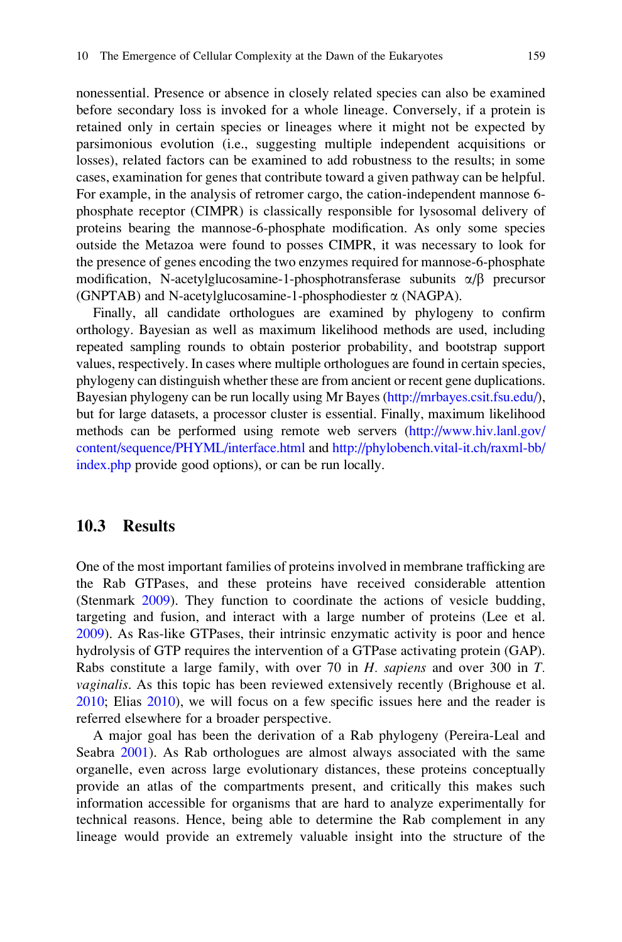nonessential. Presence or absence in closely related species can also be examined before secondary loss is invoked for a whole lineage. Conversely, if a protein is retained only in certain species or lineages where it might not be expected by parsimonious evolution (i.e., suggesting multiple independent acquisitions or losses), related factors can be examined to add robustness to the results; in some cases, examination for genes that contribute toward a given pathway can be helpful. For example, in the analysis of retromer cargo, the cation-independent mannose 6 phosphate receptor (CIMPR) is classically responsible for lysosomal delivery of proteins bearing the mannose-6-phosphate modification. As only some species outside the Metazoa were found to posses CIMPR, it was necessary to look for the presence of genes encoding the two enzymes required for mannose-6-phosphate modification, N-acetylglucosamine-1-phosphotransferase subunits  $\alpha/\beta$  precursor (GNPTAB) and N-acetylglucosamine-1-phosphodiester  $\alpha$  (NAGPA).

Finally, all candidate orthologues are examined by phylogeny to confirm orthology. Bayesian as well as maximum likelihood methods are used, including repeated sampling rounds to obtain posterior probability, and bootstrap support values, respectively. In cases where multiple orthologues are found in certain species, phylogeny can distinguish whether these are from ancient or recent gene duplications. Bayesian phylogeny can be run locally using Mr Bayes ([http://mrbayes.csit.fsu.edu/\)](http://mrbayes.csit.fsu.edu/), but for large datasets, a processor cluster is essential. Finally, maximum likelihood methods can be performed using remote web servers [\(http://www.hiv.lanl.gov/](http://www.hiv.lanl.gov/content/sequence/PHYML/interface.html) [content/sequence/PHYML/interface.html](http://www.hiv.lanl.gov/content/sequence/PHYML/interface.html) and [http://phylobench.vital-it.ch/raxml-bb/](http://phylobench.vital-it.ch/raxml-bb/index.php) [index.php](http://phylobench.vital-it.ch/raxml-bb/index.php) provide good options), or can be run locally.

### 10.3 Results

One of the most important families of proteins involved in membrane trafficking are the Rab GTPases, and these proteins have received considerable attention (Stenmark [2009](#page-14-0)). They function to coordinate the actions of vesicle budding, targeting and fusion, and interact with a large number of proteins (Lee et al. [2009\)](#page-13-0). As Ras-like GTPases, their intrinsic enzymatic activity is poor and hence hydrolysis of GTP requires the intervention of a GTPase activating protein (GAP). Rabs constitute a large family, with over 70 in H. sapiens and over 300 in T. vaginalis. As this topic has been reviewed extensively recently (Brighouse et al. [2010;](#page-12-0) Elias [2010\)](#page-13-0), we will focus on a few specific issues here and the reader is referred elsewhere for a broader perspective.

A major goal has been the derivation of a Rab phylogeny (Pereira-Leal and Seabra [2001](#page-14-0)). As Rab orthologues are almost always associated with the same organelle, even across large evolutionary distances, these proteins conceptually provide an atlas of the compartments present, and critically this makes such information accessible for organisms that are hard to analyze experimentally for technical reasons. Hence, being able to determine the Rab complement in any lineage would provide an extremely valuable insight into the structure of the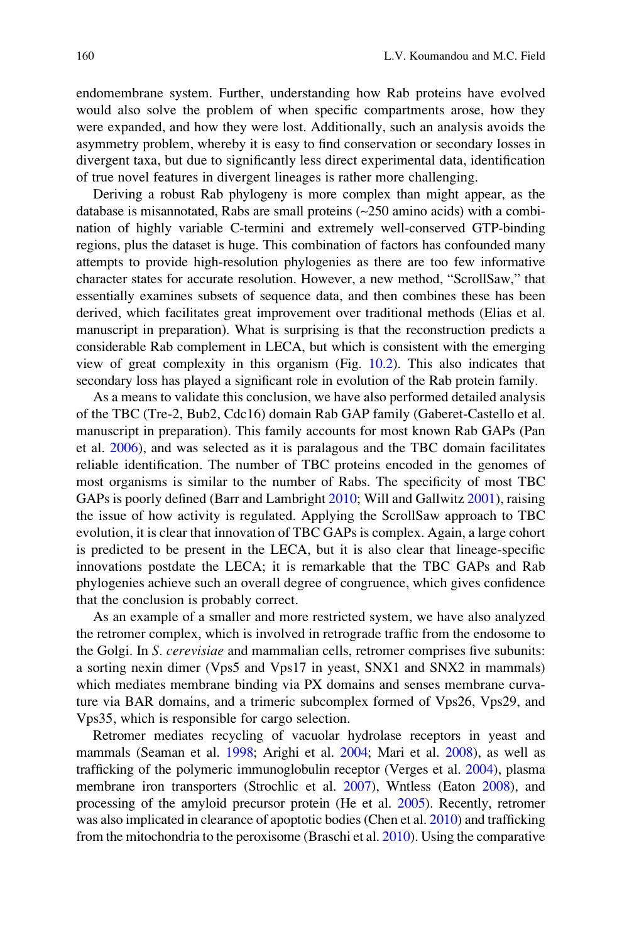endomembrane system. Further, understanding how Rab proteins have evolved would also solve the problem of when specific compartments arose, how they were expanded, and how they were lost. Additionally, such an analysis avoids the asymmetry problem, whereby it is easy to find conservation or secondary losses in divergent taxa, but due to significantly less direct experimental data, identification of true novel features in divergent lineages is rather more challenging.

Deriving a robust Rab phylogeny is more complex than might appear, as the database is misannotated, Rabs are small proteins  $(\sim 250 \text{ amino acids})$  with a combination of highly variable C-termini and extremely well-conserved GTP-binding regions, plus the dataset is huge. This combination of factors has confounded many attempts to provide high-resolution phylogenies as there are too few informative character states for accurate resolution. However, a new method, "ScrollSaw," that essentially examines subsets of sequence data, and then combines these has been derived, which facilitates great improvement over traditional methods (Elias et al. manuscript in preparation). What is surprising is that the reconstruction predicts a considerable Rab complement in LECA, but which is consistent with the emerging view of great complexity in this organism (Fig. [10.2\)](#page-8-0). This also indicates that secondary loss has played a significant role in evolution of the Rab protein family.

As a means to validate this conclusion, we have also performed detailed analysis of the TBC (Tre-2, Bub2, Cdc16) domain Rab GAP family (Gaberet-Castello et al. manuscript in preparation). This family accounts for most known Rab GAPs (Pan et al. [2006\)](#page-14-0), and was selected as it is paralagous and the TBC domain facilitates reliable identification. The number of TBC proteins encoded in the genomes of most organisms is similar to the number of Rabs. The specificity of most TBC GAPs is poorly defined (Barr and Lambright [2010](#page-12-0); Will and Gallwitz [2001](#page-14-0)), raising the issue of how activity is regulated. Applying the ScrollSaw approach to TBC evolution, it is clear that innovation of TBC GAPs is complex. Again, a large cohort is predicted to be present in the LECA, but it is also clear that lineage-specific innovations postdate the LECA; it is remarkable that the TBC GAPs and Rab phylogenies achieve such an overall degree of congruence, which gives confidence that the conclusion is probably correct.

As an example of a smaller and more restricted system, we have also analyzed the retromer complex, which is involved in retrograde traffic from the endosome to the Golgi. In S. cerevisiae and mammalian cells, retromer comprises five subunits: a sorting nexin dimer (Vps5 and Vps17 in yeast, SNX1 and SNX2 in mammals) which mediates membrane binding via PX domains and senses membrane curvature via BAR domains, and a trimeric subcomplex formed of Vps26, Vps29, and Vps35, which is responsible for cargo selection.

Retromer mediates recycling of vacuolar hydrolase receptors in yeast and mammals (Seaman et al. [1998](#page-14-0); Arighi et al. [2004;](#page-12-0) Mari et al. [2008](#page-13-0)), as well as trafficking of the polymeric immunoglobulin receptor (Verges et al. [2004\)](#page-14-0), plasma membrane iron transporters (Strochlic et al. [2007](#page-14-0)), Wntless (Eaton [2008\)](#page-13-0), and processing of the amyloid precursor protein (He et al. [2005\)](#page-13-0). Recently, retromer was also implicated in clearance of apoptotic bodies (Chen et al. [2010](#page-12-0)) and trafficking from the mitochondria to the peroxisome (Braschi et al. [2010\)](#page-12-0). Using the comparative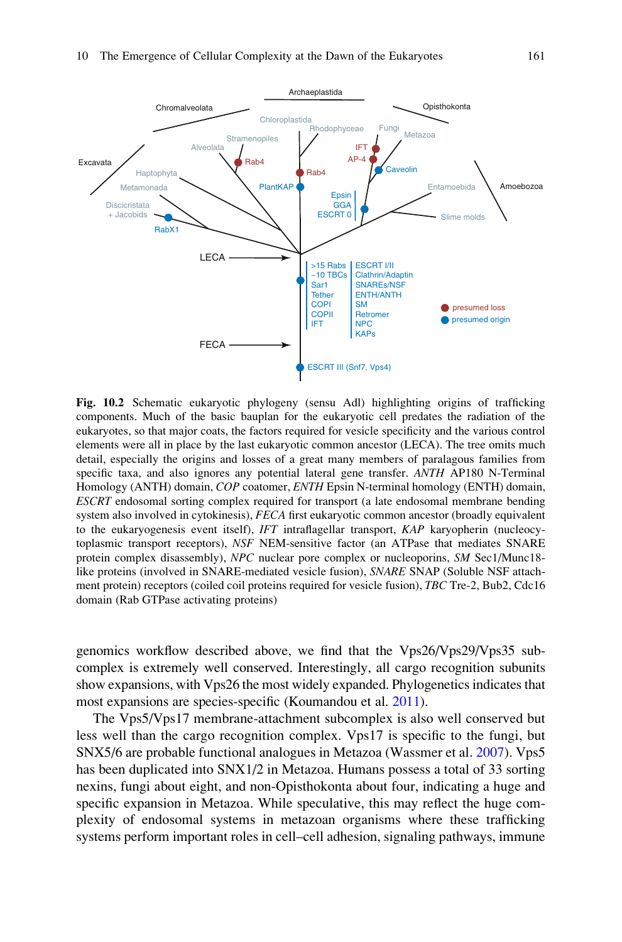<span id="page-8-0"></span>

Fig. 10.2 Schematic eukaryotic phylogeny (sensu Adl) highlighting origins of trafficking components. Much of the basic bauplan for the eukaryotic cell predates the radiation of the eukaryotes, so that major coats, the factors required for vesicle specificity and the various control elements were all in place by the last eukaryotic common ancestor (LECA). The tree omits much detail, especially the origins and losses of a great many members of paralagous families from specific taxa, and also ignores any potential lateral gene transfer. ANTH AP180 N-Terminal Homology (ANTH) domain, COP coatomer, ENTH Epsin N-terminal homology (ENTH) domain, ESCRT endosomal sorting complex required for transport (a late endosomal membrane bending system also involved in cytokinesis), FECA first eukaryotic common ancestor (broadly equivalent to the eukaryogenesis event itself), IFT intraflagellar transport, KAP karyopherin (nucleocytoplasmic transport receptors), NSF NEM-sensitive factor (an ATPase that mediates SNARE protein complex disassembly), NPC nuclear pore complex or nucleoporins, SM Sec1/Munc18 like proteins (involved in SNARE-mediated vesicle fusion), SNARE SNAP (Soluble NSF attachment protein) receptors (coiled coil proteins required for vesicle fusion), TBC Tre-2, Bub2, Cdc16 domain (Rab GTPase activating proteins)

genomics workflow described above, we find that the Vps26/Vps29/Vps35 subcomplex is extremely well conserved. Interestingly, all cargo recognition subunits show expansions, with Vps26 the most widely expanded. Phylogenetics indicates that most expansions are species-specific (Koumandou et al. [2011\)](#page-13-0).

The Vps5/Vps17 membrane-attachment subcomplex is also well conserved but less well than the cargo recognition complex. Vps17 is specific to the fungi, but SNX5/6 are probable functional analogues in Metazoa (Wassmer et al. [2007](#page-14-0)). Vps5 has been duplicated into SNX1/2 in Metazoa. Humans possess a total of 33 sorting nexins, fungi about eight, and non-Opisthokonta about four, indicating a huge and specific expansion in Metazoa. While speculative, this may reflect the huge complexity of endosomal systems in metazoan organisms where these trafficking systems perform important roles in cell–cell adhesion, signaling pathways, immune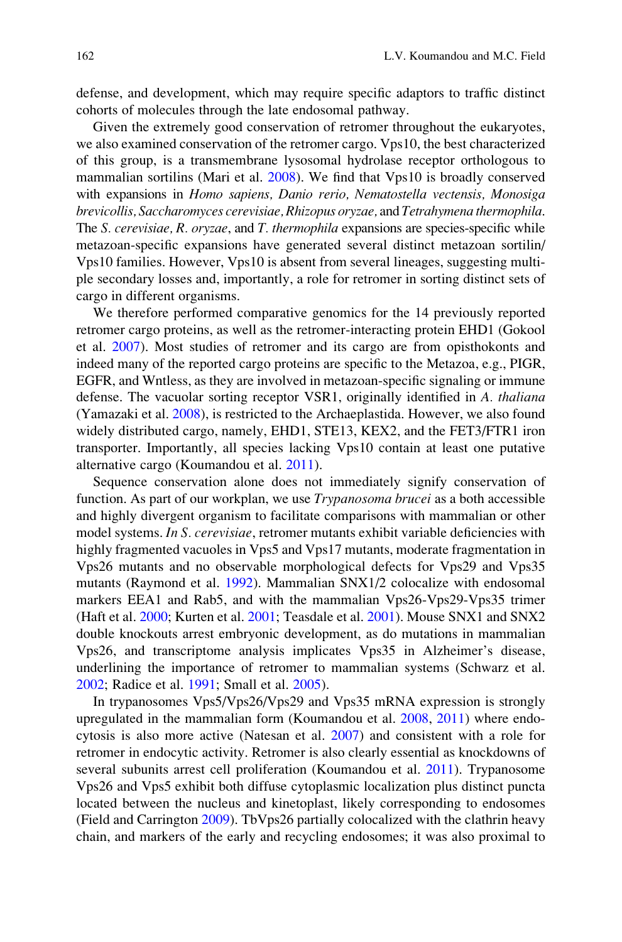defense, and development, which may require specific adaptors to traffic distinct cohorts of molecules through the late endosomal pathway.

Given the extremely good conservation of retromer throughout the eukaryotes, we also examined conservation of the retromer cargo. Vps10, the best characterized of this group, is a transmembrane lysosomal hydrolase receptor orthologous to mammalian sortilins (Mari et al. [2008](#page-13-0)). We find that Vps10 is broadly conserved with expansions in Homo sapiens, Danio rerio, Nematostella vectensis, Monosiga brevicollis, Saccharomyces cerevisiae, Rhizopus oryzae, and Tetrahymena thermophila. The S. cerevisiae, R. oryzae, and T. thermophila expansions are species-specific while metazoan-specific expansions have generated several distinct metazoan sortilin/ Vps10 families. However, Vps10 is absent from several lineages, suggesting multiple secondary losses and, importantly, a role for retromer in sorting distinct sets of cargo in different organisms.

We therefore performed comparative genomics for the 14 previously reported retromer cargo proteins, as well as the retromer-interacting protein EHD1 (Gokool et al. [2007](#page-13-0)). Most studies of retromer and its cargo are from opisthokonts and indeed many of the reported cargo proteins are specific to the Metazoa, e.g., PIGR, EGFR, and Wntless, as they are involved in metazoan-specific signaling or immune defense. The vacuolar sorting receptor VSR1, originally identified in A. thaliana (Yamazaki et al. [2008\)](#page-14-0), is restricted to the Archaeplastida. However, we also found widely distributed cargo, namely, EHD1, STE13, KEX2, and the FET3/FTR1 iron transporter. Importantly, all species lacking Vps10 contain at least one putative alternative cargo (Koumandou et al. [2011](#page-13-0)).

Sequence conservation alone does not immediately signify conservation of function. As part of our workplan, we use Trypanosoma brucei as a both accessible and highly divergent organism to facilitate comparisons with mammalian or other model systems. In S. cerevisiae, retromer mutants exhibit variable deficiencies with highly fragmented vacuoles in Vps5 and Vps17 mutants, moderate fragmentation in Vps26 mutants and no observable morphological defects for Vps29 and Vps35 mutants (Raymond et al. [1992\)](#page-14-0). Mammalian SNX1/2 colocalize with endosomal markers EEA1 and Rab5, and with the mammalian Vps26-Vps29-Vps35 trimer (Haft et al. [2000;](#page-13-0) Kurten et al. [2001](#page-13-0); Teasdale et al. [2001](#page-14-0)). Mouse SNX1 and SNX2 double knockouts arrest embryonic development, as do mutations in mammalian Vps26, and transcriptome analysis implicates Vps35 in Alzheimer's disease, underlining the importance of retromer to mammalian systems (Schwarz et al. [2002;](#page-14-0) Radice et al. [1991;](#page-14-0) Small et al. [2005](#page-14-0)).

In trypanosomes Vps5/Vps26/Vps29 and Vps35 mRNA expression is strongly upregulated in the mammalian form (Koumandou et al. [2008](#page-13-0), [2011\)](#page-13-0) where endocytosis is also more active (Natesan et al. [2007\)](#page-14-0) and consistent with a role for retromer in endocytic activity. Retromer is also clearly essential as knockdowns of several subunits arrest cell proliferation (Koumandou et al. [2011](#page-13-0)). Trypanosome Vps26 and Vps5 exhibit both diffuse cytoplasmic localization plus distinct puncta located between the nucleus and kinetoplast, likely corresponding to endosomes (Field and Carrington [2009](#page-13-0)). TbVps26 partially colocalized with the clathrin heavy chain, and markers of the early and recycling endosomes; it was also proximal to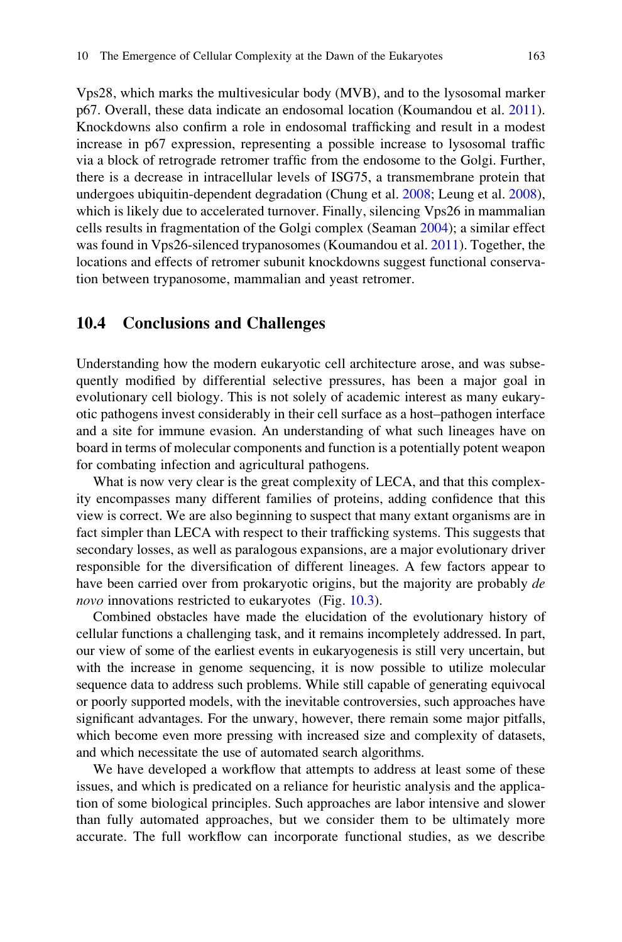Vps28, which marks the multivesicular body (MVB), and to the lysosomal marker p67. Overall, these data indicate an endosomal location (Koumandou et al. [2011\)](#page-13-0). Knockdowns also confirm a role in endosomal trafficking and result in a modest increase in p67 expression, representing a possible increase to lysosomal traffic via a block of retrograde retromer traffic from the endosome to the Golgi. Further, there is a decrease in intracellular levels of ISG75, a transmembrane protein that undergoes ubiquitin-dependent degradation (Chung et al. [2008;](#page-13-0) Leung et al. [2008\)](#page-13-0), which is likely due to accelerated turnover. Finally, silencing Vps26 in mammalian cells results in fragmentation of the Golgi complex (Seaman [2004\)](#page-14-0); a similar effect was found in Vps26-silenced trypanosomes (Koumandou et al. [2011\)](#page-13-0). Together, the locations and effects of retromer subunit knockdowns suggest functional conservation between trypanosome, mammalian and yeast retromer.

#### 10.4 Conclusions and Challenges

Understanding how the modern eukaryotic cell architecture arose, and was subsequently modified by differential selective pressures, has been a major goal in evolutionary cell biology. This is not solely of academic interest as many eukaryotic pathogens invest considerably in their cell surface as a host–pathogen interface and a site for immune evasion. An understanding of what such lineages have on board in terms of molecular components and function is a potentially potent weapon for combating infection and agricultural pathogens.

What is now very clear is the great complexity of LECA, and that this complexity encompasses many different families of proteins, adding confidence that this view is correct. We are also beginning to suspect that many extant organisms are in fact simpler than LECA with respect to their trafficking systems. This suggests that secondary losses, as well as paralogous expansions, are a major evolutionary driver responsible for the diversification of different lineages. A few factors appear to have been carried over from prokaryotic origins, but the majority are probably de novo innovations restricted to eukaryotes (Fig. [10.3\)](#page-11-0).

Combined obstacles have made the elucidation of the evolutionary history of cellular functions a challenging task, and it remains incompletely addressed. In part, our view of some of the earliest events in eukaryogenesis is still very uncertain, but with the increase in genome sequencing, it is now possible to utilize molecular sequence data to address such problems. While still capable of generating equivocal or poorly supported models, with the inevitable controversies, such approaches have significant advantages. For the unwary, however, there remain some major pitfalls, which become even more pressing with increased size and complexity of datasets, and which necessitate the use of automated search algorithms.

We have developed a workflow that attempts to address at least some of these issues, and which is predicated on a reliance for heuristic analysis and the application of some biological principles. Such approaches are labor intensive and slower than fully automated approaches, but we consider them to be ultimately more accurate. The full workflow can incorporate functional studies, as we describe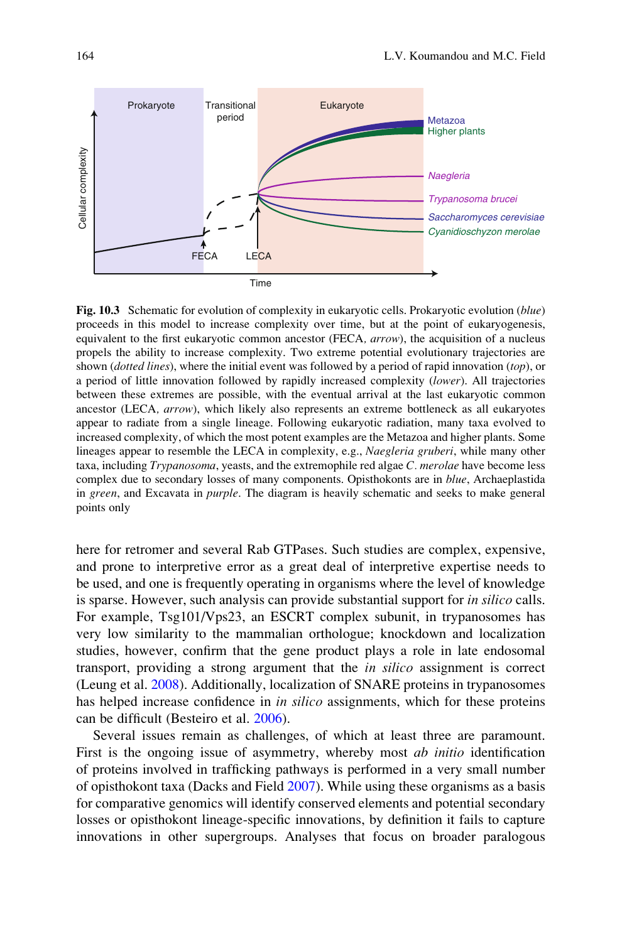<span id="page-11-0"></span>

Fig. 10.3 Schematic for evolution of complexity in eukaryotic cells. Prokaryotic evolution (blue) proceeds in this model to increase complexity over time, but at the point of eukaryogenesis, equivalent to the first eukaryotic common ancestor (FECA, arrow), the acquisition of a nucleus propels the ability to increase complexity. Two extreme potential evolutionary trajectories are shown (*dotted lines*), where the initial event was followed by a period of rapid innovation (top), or a period of little innovation followed by rapidly increased complexity (lower). All trajectories between these extremes are possible, with the eventual arrival at the last eukaryotic common ancestor (LECA, *arrow*), which likely also represents an extreme bottleneck as all eukaryotes appear to radiate from a single lineage. Following eukaryotic radiation, many taxa evolved to increased complexity, of which the most potent examples are the Metazoa and higher plants. Some lineages appear to resemble the LECA in complexity, e.g., Naegleria gruberi, while many other taxa, including Trypanosoma, yeasts, and the extremophile red algae C. merolae have become less complex due to secondary losses of many components. Opisthokonts are in blue, Archaeplastida in green, and Excavata in *purple*. The diagram is heavily schematic and seeks to make general points only

here for retromer and several Rab GTPases. Such studies are complex, expensive, and prone to interpretive error as a great deal of interpretive expertise needs to be used, and one is frequently operating in organisms where the level of knowledge is sparse. However, such analysis can provide substantial support for in silico calls. For example, Tsg101/Vps23, an ESCRT complex subunit, in trypanosomes has very low similarity to the mammalian orthologue; knockdown and localization studies, however, confirm that the gene product plays a role in late endosomal transport, providing a strong argument that the in silico assignment is correct (Leung et al. [2008\)](#page-13-0). Additionally, localization of SNARE proteins in trypanosomes has helped increase confidence in *in silico* assignments, which for these proteins can be difficult (Besteiro et al. [2006](#page-12-0)).

Several issues remain as challenges, of which at least three are paramount. First is the ongoing issue of asymmetry, whereby most *ab initio* identification of proteins involved in trafficking pathways is performed in a very small number of opisthokont taxa (Dacks and Field [2007](#page-13-0)). While using these organisms as a basis for comparative genomics will identify conserved elements and potential secondary losses or opisthokont lineage-specific innovations, by definition it fails to capture innovations in other supergroups. Analyses that focus on broader paralogous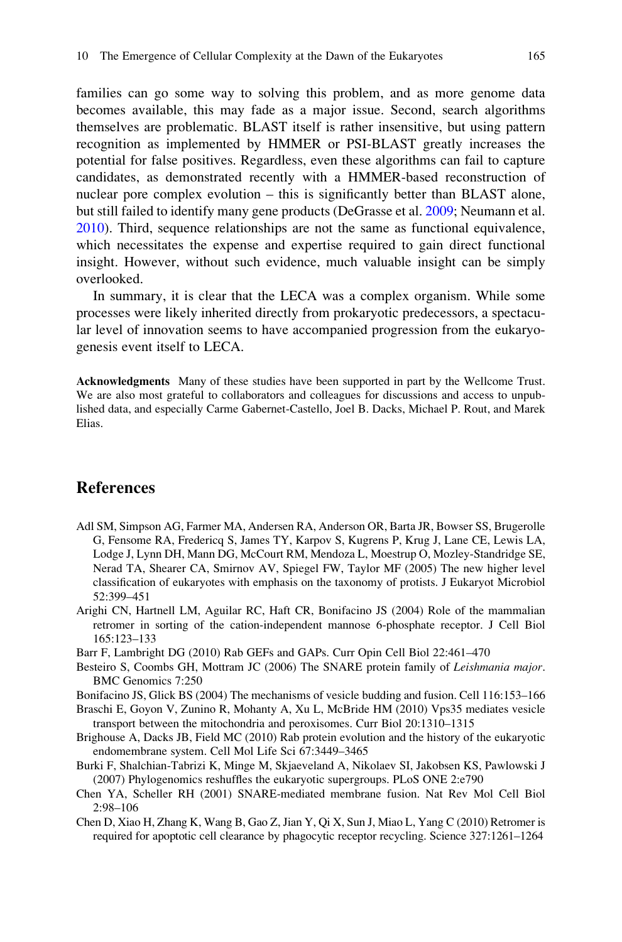<span id="page-12-0"></span>families can go some way to solving this problem, and as more genome data becomes available, this may fade as a major issue. Second, search algorithms themselves are problematic. BLAST itself is rather insensitive, but using pattern recognition as implemented by HMMER or PSI-BLAST greatly increases the potential for false positives. Regardless, even these algorithms can fail to capture candidates, as demonstrated recently with a HMMER-based reconstruction of nuclear pore complex evolution – this is significantly better than BLAST alone, but still failed to identify many gene products (DeGrasse et al. [2009;](#page-13-0) Neumann et al. [2010\)](#page-14-0). Third, sequence relationships are not the same as functional equivalence, which necessitates the expense and expertise required to gain direct functional insight. However, without such evidence, much valuable insight can be simply overlooked.

In summary, it is clear that the LECA was a complex organism. While some processes were likely inherited directly from prokaryotic predecessors, a spectacular level of innovation seems to have accompanied progression from the eukaryogenesis event itself to LECA.

Acknowledgments Many of these studies have been supported in part by the Wellcome Trust. We are also most grateful to collaborators and colleagues for discussions and access to unpublished data, and especially Carme Gabernet-Castello, Joel B. Dacks, Michael P. Rout, and Marek Elias.

### References

- Adl SM, Simpson AG, Farmer MA, Andersen RA, Anderson OR, Barta JR, Bowser SS, Brugerolle G, Fensome RA, Fredericq S, James TY, Karpov S, Kugrens P, Krug J, Lane CE, Lewis LA, Lodge J, Lynn DH, Mann DG, McCourt RM, Mendoza L, Moestrup O, Mozley-Standridge SE, Nerad TA, Shearer CA, Smirnov AV, Spiegel FW, Taylor MF (2005) The new higher level classification of eukaryotes with emphasis on the taxonomy of protists. J Eukaryot Microbiol 52:399–451
- Arighi CN, Hartnell LM, Aguilar RC, Haft CR, Bonifacino JS (2004) Role of the mammalian retromer in sorting of the cation-independent mannose 6-phosphate receptor. J Cell Biol 165:123–133
- Barr F, Lambright DG (2010) Rab GEFs and GAPs. Curr Opin Cell Biol 22:461–470
- Besteiro S, Coombs GH, Mottram JC (2006) The SNARE protein family of Leishmania major. BMC Genomics 7:250
- Bonifacino JS, Glick BS (2004) The mechanisms of vesicle budding and fusion. Cell 116:153–166
- Braschi E, Goyon V, Zunino R, Mohanty A, Xu L, McBride HM (2010) Vps35 mediates vesicle transport between the mitochondria and peroxisomes. Curr Biol 20:1310–1315
- Brighouse A, Dacks JB, Field MC (2010) Rab protein evolution and the history of the eukaryotic endomembrane system. Cell Mol Life Sci 67:3449–3465
- Burki F, Shalchian-Tabrizi K, Minge M, Skjaeveland A, Nikolaev SI, Jakobsen KS, Pawlowski J (2007) Phylogenomics reshuffles the eukaryotic supergroups. PLoS ONE 2:e790
- Chen YA, Scheller RH (2001) SNARE-mediated membrane fusion. Nat Rev Mol Cell Biol 2:98–106
- Chen D, Xiao H, Zhang K, Wang B, Gao Z, Jian Y, Qi X, Sun J, Miao L, Yang C (2010) Retromer is required for apoptotic cell clearance by phagocytic receptor recycling. Science 327:1261–1264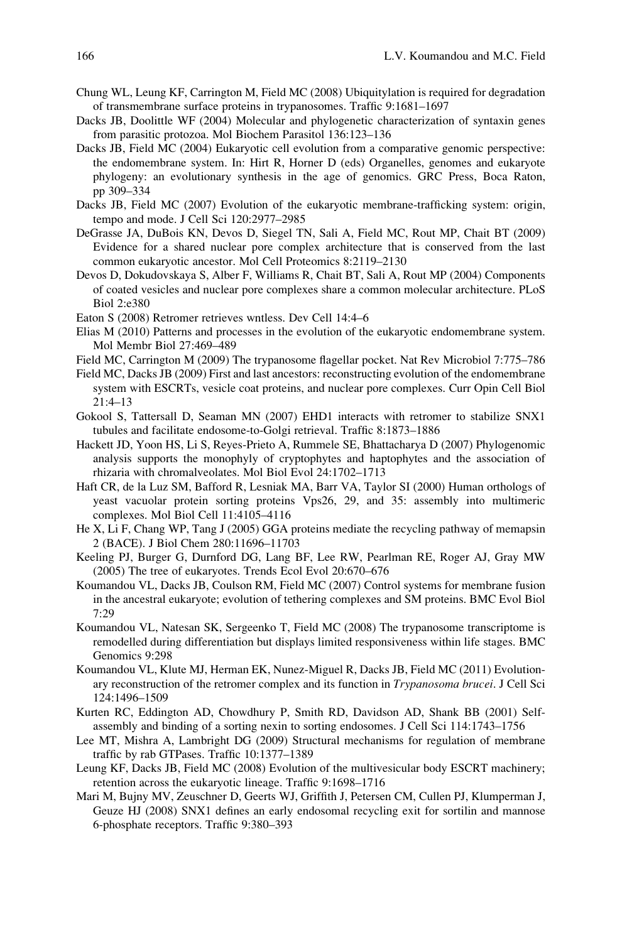- <span id="page-13-0"></span>Chung WL, Leung KF, Carrington M, Field MC (2008) Ubiquitylation is required for degradation of transmembrane surface proteins in trypanosomes. Traffic 9:1681–1697
- Dacks JB, Doolittle WF (2004) Molecular and phylogenetic characterization of syntaxin genes from parasitic protozoa. Mol Biochem Parasitol 136:123–136
- Dacks JB, Field MC (2004) Eukaryotic cell evolution from a comparative genomic perspective: the endomembrane system. In: Hirt R, Horner D (eds) Organelles, genomes and eukaryote phylogeny: an evolutionary synthesis in the age of genomics. GRC Press, Boca Raton, pp 309–334
- Dacks JB, Field MC (2007) Evolution of the eukaryotic membrane-trafficking system: origin, tempo and mode. J Cell Sci 120:2977–2985
- DeGrasse JA, DuBois KN, Devos D, Siegel TN, Sali A, Field MC, Rout MP, Chait BT (2009) Evidence for a shared nuclear pore complex architecture that is conserved from the last common eukaryotic ancestor. Mol Cell Proteomics 8:2119–2130
- Devos D, Dokudovskaya S, Alber F, Williams R, Chait BT, Sali A, Rout MP (2004) Components of coated vesicles and nuclear pore complexes share a common molecular architecture. PLoS Biol 2:e380
- Eaton S (2008) Retromer retrieves wntless. Dev Cell 14:4–6
- Elias M (2010) Patterns and processes in the evolution of the eukaryotic endomembrane system. Mol Membr Biol 27:469–489
- Field MC, Carrington M (2009) The trypanosome flagellar pocket. Nat Rev Microbiol 7:775–786
- Field MC, Dacks JB (2009) First and last ancestors: reconstructing evolution of the endomembrane system with ESCRTs, vesicle coat proteins, and nuclear pore complexes. Curr Opin Cell Biol 21:4–13
- Gokool S, Tattersall D, Seaman MN (2007) EHD1 interacts with retromer to stabilize SNX1 tubules and facilitate endosome-to-Golgi retrieval. Traffic 8:1873–1886
- Hackett JD, Yoon HS, Li S, Reyes-Prieto A, Rummele SE, Bhattacharya D (2007) Phylogenomic analysis supports the monophyly of cryptophytes and haptophytes and the association of rhizaria with chromalveolates. Mol Biol Evol 24:1702–1713
- Haft CR, de la Luz SM, Bafford R, Lesniak MA, Barr VA, Taylor SI (2000) Human orthologs of yeast vacuolar protein sorting proteins Vps26, 29, and 35: assembly into multimeric complexes. Mol Biol Cell 11:4105–4116
- He X, Li F, Chang WP, Tang J (2005) GGA proteins mediate the recycling pathway of memapsin 2 (BACE). J Biol Chem 280:11696–11703
- Keeling PJ, Burger G, Durnford DG, Lang BF, Lee RW, Pearlman RE, Roger AJ, Gray MW (2005) The tree of eukaryotes. Trends Ecol Evol 20:670–676
- Koumandou VL, Dacks JB, Coulson RM, Field MC (2007) Control systems for membrane fusion in the ancestral eukaryote; evolution of tethering complexes and SM proteins. BMC Evol Biol 7:29
- Koumandou VL, Natesan SK, Sergeenko T, Field MC (2008) The trypanosome transcriptome is remodelled during differentiation but displays limited responsiveness within life stages. BMC Genomics 9:298
- Koumandou VL, Klute MJ, Herman EK, Nunez-Miguel R, Dacks JB, Field MC (2011) Evolutionary reconstruction of the retromer complex and its function in *Trypanosoma brucei*. J Cell Sci 124:1496–1509
- Kurten RC, Eddington AD, Chowdhury P, Smith RD, Davidson AD, Shank BB (2001) Selfassembly and binding of a sorting nexin to sorting endosomes. J Cell Sci 114:1743–1756
- Lee MT, Mishra A, Lambright DG (2009) Structural mechanisms for regulation of membrane traffic by rab GTPases. Traffic 10:1377–1389
- Leung KF, Dacks JB, Field MC (2008) Evolution of the multivesicular body ESCRT machinery; retention across the eukaryotic lineage. Traffic 9:1698–1716
- Mari M, Bujny MV, Zeuschner D, Geerts WJ, Griffith J, Petersen CM, Cullen PJ, Klumperman J, Geuze HJ (2008) SNX1 defines an early endosomal recycling exit for sortilin and mannose 6-phosphate receptors. Traffic 9:380–393